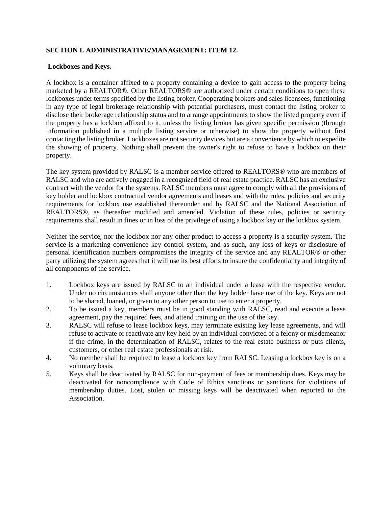## **SECTION I. ADMINISTRATIVE/MANAGEMENT: ITEM 12.**

## **Lockboxes and Keys.**

A lockbox is a container affixed to a property containing a device to gain access to the property being marketed by a REALTOR®. Other REALTORS® are authorized under certain conditions to open these lockboxes under terms specified by the listing broker. Cooperating brokers and sales licensees, functioning in any type of legal brokerage relationship with potential purchasers, must contact the listing broker to disclose their brokerage relationship status and to arrange appointments to show the listed property even if the property has a lockbox affixed to it, unless the listing broker has given specific permission (through information published in a multiple listing service or otherwise) to show the property without first contacting the listing broker. Lockboxes are not security devices but are a convenience by which to expedite the showing of property. Nothing shall prevent the owner's right to refuse to have a lockbox on their property.

The key system provided by RALSC is a member service offered to REALTORS® who are members of RALSC and who are actively engaged in a recognized field of real estate practice. RALSC has an exclusive contract with the vendor for the systems. RALSC members must agree to comply with all the provisions of key holder and lockbox contractual vendor agreements and leases and with the rules, policies and security requirements for lockbox use established thereunder and by RALSC and the National Association of REALTORS®, as thereafter modified and amended. Violation of these rules, policies or security requirements shall result in fines or in loss of the privilege of using a lockbox key or the lockbox system.

Neither the service, nor the lockbox nor any other product to access a property is a security system. The service is a marketing convenience key control system, and as such, any loss of keys or disclosure of personal identification numbers compromises the integrity of the service and any REALTOR® or other party utilizing the system agrees that it will use its best efforts to insure the confidentiality and integrity of all components of the service.

- 1. Lockbox keys are issued by RALSC to an individual under a lease with the respective vendor. Under no circumstances shall anyone other than the key holder have use of the key. Keys are not to be shared, loaned, or given to any other person to use to enter a property.
- 2. To be issued a key, members must be in good standing with RALSC, read and execute a lease agreement, pay the required fees, and attend training on the use of the key.
- 3. RALSC will refuse to lease lockbox keys, may terminate existing key lease agreements, and will refuse to activate or reactivate any key held by an individual convicted of a felony or misdemeanor if the crime, in the determination of RALSC, relates to the real estate business or puts clients, customers, or other real estate professionals at risk.
- 4. No member shall be required to lease a lockbox key from RALSC. Leasing a lockbox key is on a voluntary basis.
- 5. Keys shall be deactivated by RALSC for non-payment of fees or membership dues. Keys may be deactivated for noncompliance with Code of Ethics sanctions or sanctions for violations of membership duties. Lost, stolen or missing keys will be deactivated when reported to the Association.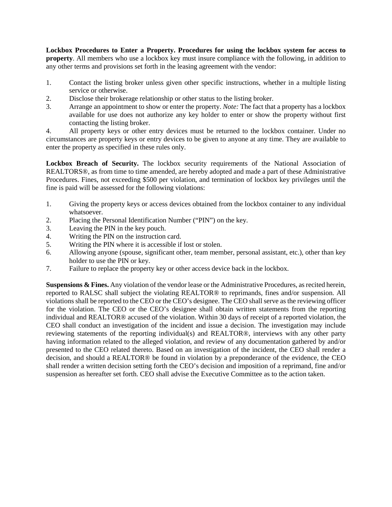**Lockbox Procedures to Enter a Property. Procedures for using the lockbox system for access to property**. All members who use a lockbox key must insure compliance with the following, in addition to any other terms and provisions set forth in the leasing agreement with the vendor:

- 1. Contact the listing broker unless given other specific instructions, whether in a multiple listing service or otherwise.
- 2. Disclose their brokerage relationship or other status to the listing broker.
- 3. Arrange an appointment to show or enter the property. *Note:* The fact that a property has a lockbox available for use does not authorize any key holder to enter or show the property without first contacting the listing broker.

4. All property keys or other entry devices must be returned to the lockbox container. Under no circumstances are property keys or entry devices to be given to anyone at any time. They are available to enter the property as specified in these rules only.

**Lockbox Breach of Security.** The lockbox security requirements of the National Association of REALTORS®, as from time to time amended, are hereby adopted and made a part of these Administrative Procedures. Fines, not exceeding \$500 per violation, and termination of lockbox key privileges until the fine is paid will be assessed for the following violations:

- 1. Giving the property keys or access devices obtained from the lockbox container to any individual whatsoever.
- 2. Placing the Personal Identification Number ("PIN") on the key.
- 3. Leaving the PIN in the key pouch.
- 4. Writing the PIN on the instruction card.
- 5. Writing the PIN where it is accessible if lost or stolen.
- 6. Allowing anyone (spouse, significant other, team member, personal assistant, etc.), other than key holder to use the PIN or key.
- 7. Failure to replace the property key or other access device back in the lockbox.

**Suspensions & Fines.** Any violation of the vendor lease or the Administrative Procedures, as recited herein, reported to RALSC shall subject the violating REALTOR® to reprimands, fines and/or suspension. All violations shall be reported to the CEO or the CEO's designee. The CEO shall serve as the reviewing officer for the violation. The CEO or the CEO's designee shall obtain written statements from the reporting individual and REALTOR® accused of the violation. Within 30 days of receipt of a reported violation, the CEO shall conduct an investigation of the incident and issue a decision. The investigation may include reviewing statements of the reporting individual(s) and REALTOR®, interviews with any other party having information related to the alleged violation, and review of any documentation gathered by and/or presented to the CEO related thereto. Based on an investigation of the incident, the CEO shall render a decision, and should a REALTOR® be found in violation by a preponderance of the evidence, the CEO shall render a written decision setting forth the CEO's decision and imposition of a reprimand, fine and/or suspension as hereafter set forth. CEO shall advise the Executive Committee as to the action taken.